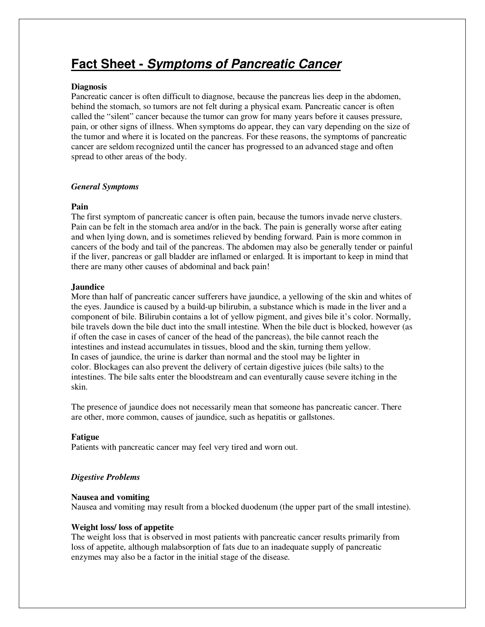# **Fact Sheet - Symptoms of Pancreatic Cancer**

## **Diagnosis**

Pancreatic cancer is often difficult to diagnose, because the pancreas lies deep in the abdomen, behind the stomach, so tumors are not felt during a physical exam. Pancreatic cancer is often called the "silent" cancer because the tumor can grow for many years before it causes pressure, pain, or other signs of illness. When symptoms do appear, they can vary depending on the size of the tumor and where it is located on the pancreas. For these reasons, the symptoms of pancreatic cancer are seldom recognized until the cancer has progressed to an advanced stage and often spread to other areas of the body.

## *General Symptoms*

# **Pain**

The first symptom of pancreatic cancer is often pain, because the tumors invade nerve clusters. Pain can be felt in the stomach area and/or in the back. The pain is generally worse after eating and when lying down, and is sometimes relieved by bending forward. Pain is more common in cancers of the body and tail of the pancreas. The abdomen may also be generally tender or painful if the liver, pancreas or gall bladder are inflamed or enlarged. It is important to keep in mind that there are many other causes of abdominal and back pain!

## **Jaundice**

More than half of pancreatic cancer sufferers have jaundice, a yellowing of the skin and whites of the eyes. Jaundice is caused by a build-up bilirubin, a substance which is made in the liver and a component of bile. Bilirubin contains a lot of yellow pigment, and gives bile it's color. Normally, bile travels down the bile duct into the small intestine. When the bile duct is blocked, however (as if often the case in cases of cancer of the head of the pancreas), the bile cannot reach the intestines and instead accumulates in tissues, blood and the skin, turning them yellow. In cases of jaundice, the urine is darker than normal and the stool may be lighter in color. Blockages can also prevent the delivery of certain digestive juices (bile salts) to the intestines. The bile salts enter the bloodstream and can eventurally cause severe itching in the skin.

The presence of jaundice does not necessarily mean that someone has pancreatic cancer. There are other, more common, causes of jaundice, such as hepatitis or gallstones.

# **Fatigue**

Patients with pancreatic cancer may feel very tired and worn out.

# *Digestive Problems*

#### **Nausea and vomiting**

Nausea and vomiting may result from a blocked duodenum (the upper part of the small intestine).

# **Weight loss/ loss of appetite**

The weight loss that is observed in most patients with pancreatic cancer results primarily from loss of appetite, although malabsorption of fats due to an inadequate supply of pancreatic enzymes may also be a factor in the initial stage of the disease.